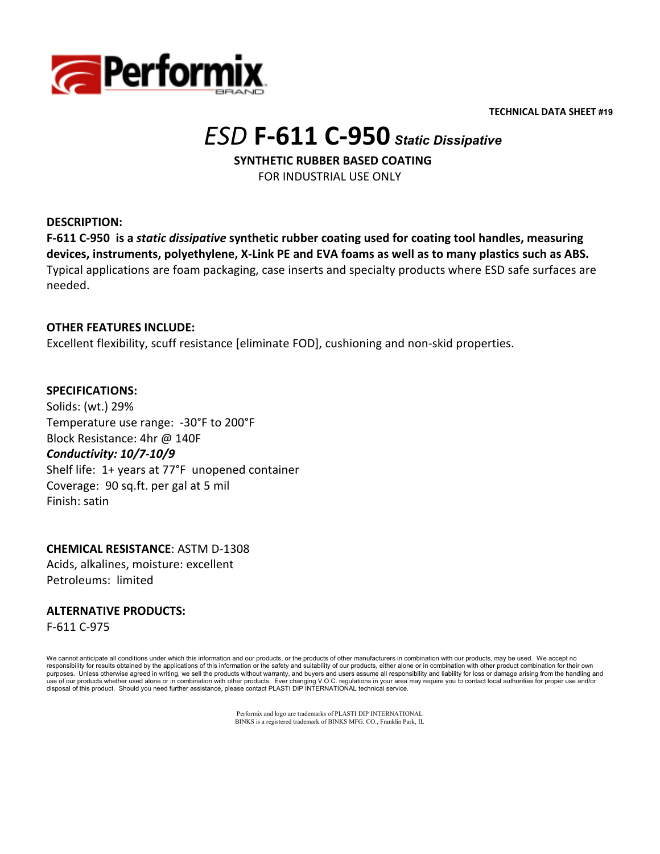

**TECHNICAL DATA SHEET #19** 

# *ESD* **F-611 C-950** *Static Dissipative*

 **SYNTHETIC RUBBER BASED COATING**  FOR INDUSTRIAL USE ONLY

**DESCRIPTION:** 

**F-611 C-950 is a** *static dissipative* **synthetic rubber coating used for coating tool handles, measuring devices, instruments, polyethylene, X-Link PE and EVA foams as well as to many plastics such as ABS.** Typical applications are foam packaging, case inserts and specialty products where ESD safe surfaces are needed.

### **OTHER FEATURES INCLUDE:**

Excellent flexibility, scuff resistance [eliminate FOD], cushioning and non-skid properties.

### **SPECIFICATIONS:**

Solids: (wt.) 29% Temperature use range: -30°F to 200°F Block Resistance: 4hr @ 140F *Conductivity: 10/7-10/9*  Shelf life: 1+ years at 77°F unopened container Coverage: 90 sq.ft. per gal at 5 mil Finish: satin

### **CHEMICAL RESISTANCE**: ASTM D-1308 Acids, alkalines, moisture: excellent Petroleums: limited

## **ALTERNATIVE PRODUCTS:**

F-611 C-975

We cannot anticipate all conditions under which this information and our products, or the products of other manufacturers in combination with our products, may be used. We accept no responsibility for results obtained by the applications of this information or the safety and suitability of our products, either alone or in combination with other product combination for their own purposes. Unless otherwise agreed in writing, we sell the products without warranty, and buyers and users assume all responsibility and liability for loss or damage arising from the handling and<br>use of our products whether disposal of this product. Should you need further assistance, please contact PLASTI DIP INTERNATIONAL technical service.

> Performix and logo are trademarks of PLASTI DIP INTERNATIONAL BINKS is a registered trademark of BINKS MFG. CO., Franklin Park, IL